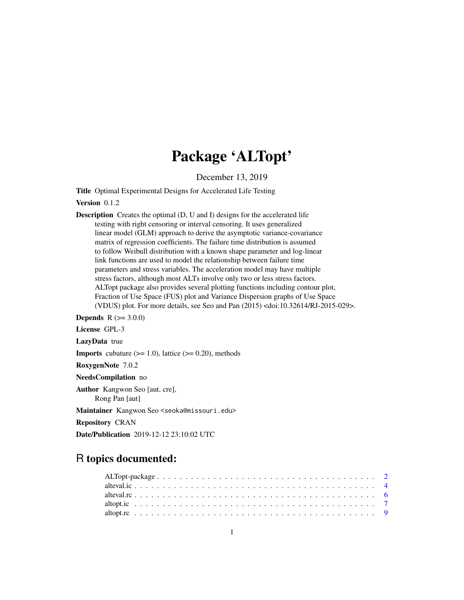# Package 'ALTopt'

December 13, 2019

<span id="page-0-0"></span>Title Optimal Experimental Designs for Accelerated Life Testing

Version 0.1.2

Description Creates the optimal (D, U and I) designs for the accelerated life testing with right censoring or interval censoring. It uses generalized linear model (GLM) approach to derive the asymptotic variance-covariance matrix of regression coefficients. The failure time distribution is assumed to follow Weibull distribution with a known shape parameter and log-linear link functions are used to model the relationship between failure time parameters and stress variables. The acceleration model may have multiple stress factors, although most ALTs involve only two or less stress factors. ALTopt package also provides several plotting functions including contour plot, Fraction of Use Space (FUS) plot and Variance Dispersion graphs of Use Space (VDUS) plot. For more details, see Seo and Pan (2015) <doi:10.32614/RJ-2015-029>.

**Depends**  $R (= 3.0.0)$ 

License GPL-3

LazyData true

**Imports** cubature  $(>= 1.0)$ , lattice  $(>= 0.20)$ , methods

RoxygenNote 7.0.2

NeedsCompilation no

Author Kangwon Seo [aut, cre],

Rong Pan [aut]

Maintainer Kangwon Seo <seoka@missouri.edu>

Repository CRAN

Date/Publication 2019-12-12 23:10:02 UTC

# R topics documented: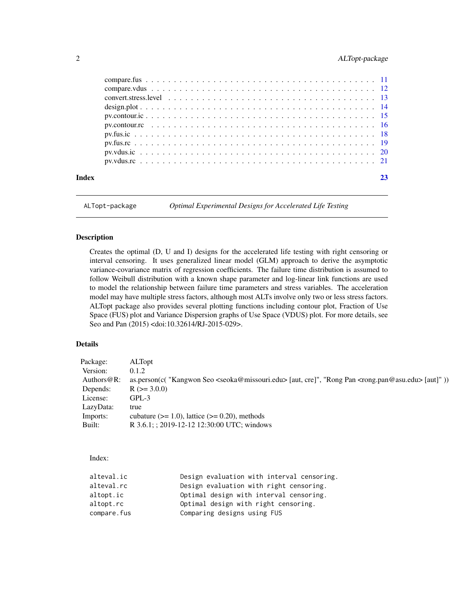# <span id="page-1-0"></span>2 ALTopt-package

| Index |  |
|-------|--|
|       |  |
|       |  |
|       |  |
|       |  |
|       |  |
|       |  |
|       |  |
|       |  |
|       |  |
|       |  |

ALTopt-package *Optimal Experimental Designs for Accelerated Life Testing*

# Description

Creates the optimal (D, U and I) designs for the accelerated life testing with right censoring or interval censoring. It uses generalized linear model (GLM) approach to derive the asymptotic variance-covariance matrix of regression coefficients. The failure time distribution is assumed to follow Weibull distribution with a known shape parameter and log-linear link functions are used to model the relationship between failure time parameters and stress variables. The acceleration model may have multiple stress factors, although most ALTs involve only two or less stress factors. ALTopt package also provides several plotting functions including contour plot, Fraction of Use Space (FUS) plot and Variance Dispersion graphs of Use Space (VDUS) plot. For more details, see Seo and Pan (2015) <doi:10.32614/RJ-2015-029>.

#### Details

| Package:       | <b>ALTopt</b>                                                                                                                             |
|----------------|-------------------------------------------------------------------------------------------------------------------------------------------|
| Version:       | 0.1.2                                                                                                                                     |
| Authors $@R$ : | as.person(c( "Kangwon Seo <seoka@missouri.edu> [aut, cre]", "Rong Pan <rong.pan@asu.edu> [aut]"))</rong.pan@asu.edu></seoka@missouri.edu> |
| Depends:       | $R (= 3.0.0)$                                                                                                                             |
| License:       | GPL-3                                                                                                                                     |
| LazyData:      | true                                                                                                                                      |
| Imports:       | cubature $(>= 1.0)$ , lattice $(>= 0.20)$ , methods                                                                                       |
| Built:         | R 3.6.1; ; 2019-12-12 12:30:00 UTC; windows                                                                                               |
|                |                                                                                                                                           |

Index:

| alteval.ic  | Design evaluation with interval censoring. |
|-------------|--------------------------------------------|
| alteval.rc  | Design evaluation with right censoring.    |
| altopt.ic   | Optimal design with interval censoring.    |
| altopt.rc   | Optimal design with right censoring.       |
| compare.fus | Comparing designs using FUS                |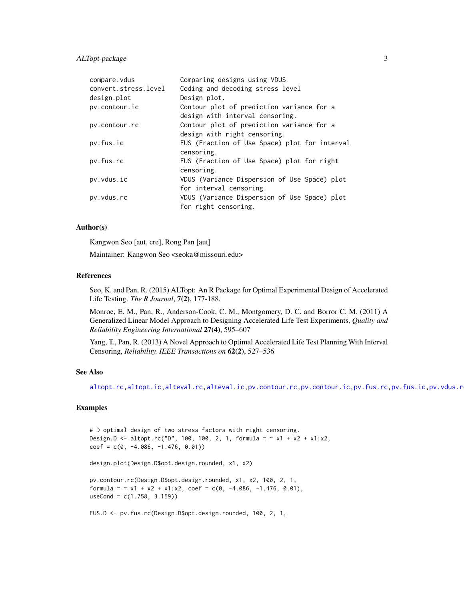# <span id="page-2-0"></span>ALTopt-package 3

| compare.vdus         | Comparing designs using VDUS                                                 |
|----------------------|------------------------------------------------------------------------------|
| convert.stress.level | Coding and decoding stress level                                             |
| design.plot          | Design plot.                                                                 |
| pv.contour.ic        | Contour plot of prediction variance for a<br>design with interval censoring. |
| pv.contour.rc        | Contour plot of prediction variance for a<br>design with right censoring.    |
| pv.fus.ic            | FUS (Fraction of Use Space) plot for interval<br>censoring.                  |
| pv.fus.rc            | FUS (Fraction of Use Space) plot for right<br>censoring.                     |
| pv.vdus.ic           | VDUS (Variance Dispersion of Use Space) plot<br>for interval censoring.      |
| pv.vdus.rc           | VDUS (Variance Dispersion of Use Space) plot<br>for right censoring.         |

#### Author(s)

Kangwon Seo [aut, cre], Rong Pan [aut]

Maintainer: Kangwon Seo <seoka@missouri.edu>

#### References

Seo, K. and Pan, R. (2015) ALTopt: An R Package for Optimal Experimental Design of Accelerated Life Testing. *The R Journal*, 7(2), 177-188.

Monroe, E. M., Pan, R., Anderson-Cook, C. M., Montgomery, D. C. and Borror C. M. (2011) A Generalized Linear Model Approach to Designing Accelerated Life Test Experiments, *Quality and Reliability Engineering International* 27(4), 595–607

Yang, T., Pan, R. (2013) A Novel Approach to Optimal Accelerated Life Test Planning With Interval Censoring, *Reliability, IEEE Transactions on* 62(2), 527–536

# See Also

[altopt.rc](#page-8-1)[,altopt.ic,](#page-6-1)[alteval.rc,](#page-5-1)[alteval.ic,](#page-3-1)[pv.contour.rc](#page-15-1)[,pv.contour.ic](#page-14-1)[,pv.fus.rc,](#page-18-1)[pv.fus.ic,](#page-17-1)pv.vdus.r

```
# D optimal design of two stress factors with right censoring.
Design.D <- altopt.rc("D", 100, 100, 2, 1, formula = \sim x1 + x2 + x1 : x2,
coef = c(0, -4.086, -1.476, 0.01))design.plot(Design.D$opt.design.rounded, x1, x2)
pv.contour.rc(Design.D$opt.design.rounded, x1, x2, 100, 2, 1,
formula = \sim x1 + x2 + x1:x2, coef = c(0, -4.086, -1.476, 0.01),
useCond = c(1.758, 3.159))
FUS.D <- pv.fus.rc(Design.D$opt.design.rounded, 100, 2, 1,
```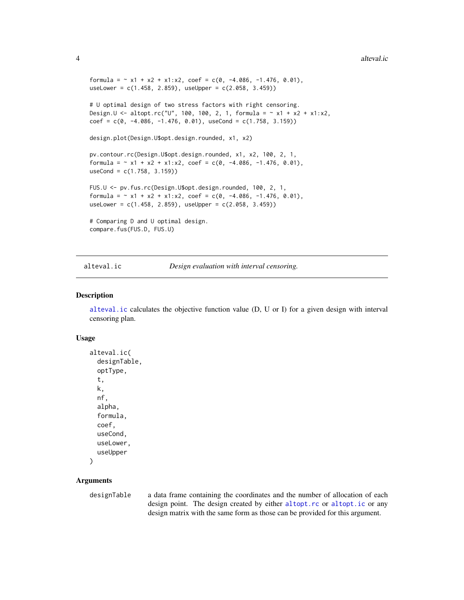```
formula = \sim x1 + x2 + x1:x2, coef = c(0, -4.086, -1.476, 0.01),
useLower = c(1.458, 2.859), useUpper = c(2.058, 3.459))
# U optimal design of two stress factors with right censoring.
Design.U <- altopt.rc("U", 100, 100, 2, 1, formula = \sim x1 + x2 + x1 : x2,
coef = c(0, -4.086, -1.476, 0.01), useCond = c(1.758, 3.159))design.plot(Design.U$opt.design.rounded, x1, x2)
pv.contour.rc(Design.U$opt.design.rounded, x1, x2, 100, 2, 1,
formula = \sim x1 + x2 + x1:x2, coef = c(0, -4.086, -1.476, 0.01),
useCond = c(1.758, 3.159))
FUS.U <- pv.fus.rc(Design.U$opt.design.rounded, 100, 2, 1,
formula = \sim x1 + x2 + x1:x2, coef = c(0, -4.086, -1.476, 0.01),
useLower = c(1.458, 2.859), useUpper = c(2.058, 3.459))
# Comparing D and U optimal design.
compare.fus(FUS.D, FUS.U)
```
<span id="page-3-1"></span>

alteval.ic *Design evaluation with interval censoring.*

#### **Description**

[alteval.ic](#page-3-1) calculates the objective function value (D, U or I) for a given design with interval censoring plan.

#### Usage

```
alteval.ic(
  designTable,
  optType,
  t,
  k,
  nf,
  alpha,
  formula,
  coef,
  useCond,
  useLower,
  useUpper
)
```
### **Arguments**

designTable a data frame containing the coordinates and the number of allocation of each design point. The design created by either [altopt.rc](#page-8-1) or [altopt.ic](#page-6-1) or any design matrix with the same form as those can be provided for this argument.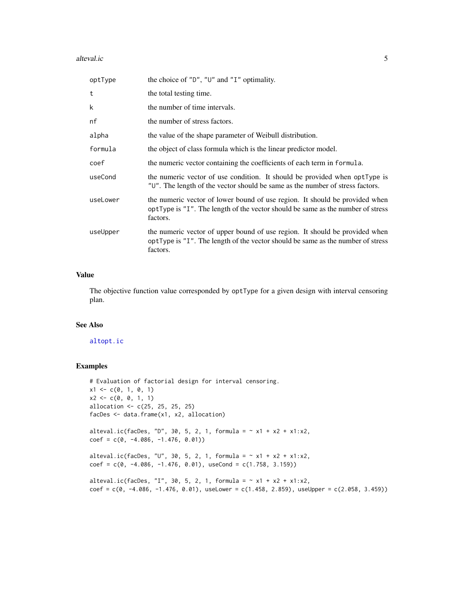#### alteval.ic 5

| optType  | the choice of " $D$ ", " $U$ " and " $I$ " optimality.                                                                                                                     |
|----------|----------------------------------------------------------------------------------------------------------------------------------------------------------------------------|
| t        | the total testing time.                                                                                                                                                    |
| k        | the number of time intervals.                                                                                                                                              |
| nf       | the number of stress factors.                                                                                                                                              |
| alpha    | the value of the shape parameter of Weibull distribution.                                                                                                                  |
| formula  | the object of class formula which is the linear predictor model.                                                                                                           |
| coef     | the numeric vector containing the coefficients of each term in formula.                                                                                                    |
| useCond  | the numeric vector of use condition. It should be provided when optType is<br>"U". The length of the vector should be same as the number of stress factors.                |
| useLower | the numeric vector of lower bound of use region. It should be provided when<br>optType is "I". The length of the vector should be same as the number of stress<br>factors. |
| useUpper | the numeric vector of upper bound of use region. It should be provided when<br>optType is "I". The length of the vector should be same as the number of stress<br>factors. |

# Value

The objective function value corresponded by optType for a given design with interval censoring plan.

# See Also

[altopt.ic](#page-6-1)

```
# Evaluation of factorial design for interval censoring.
x1 \leftarrow c(0, 1, 0, 1)x2 \leq -c(0, 0, 1, 1)allocation <- c(25, 25, 25, 25)
facDes <- data.frame(x1, x2, allocation)
alteval.ic(facDes, "D", 30, 5, 2, 1, formula = \sim x1 + x2 + x1:x2,
coef = c(0, -4.086, -1.476, 0.01))alteval.ic(facDes, "U", 30, 5, 2, 1, formula = \sim x1 + x2 + x1:x2,
coef = c(0, -4.086, -1.476, 0.01), useCond = c(1.758, 3.159))
alteval.ic(facDes, "I", 30, 5, 2, 1, formula = \sim x1 + x2 + x1 : x2,
coef = c(0, -4.086, -1.476, 0.01), useLower = c(1.458, 2.859), useUpper = c(2.058, 3.459))
```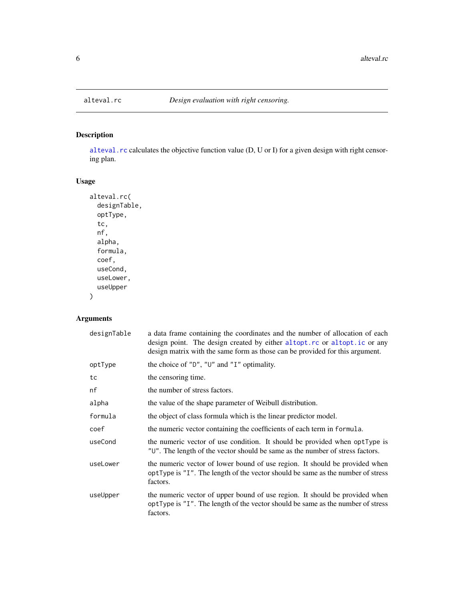<span id="page-5-1"></span><span id="page-5-0"></span>

# Description

[alteval.rc](#page-5-1) calculates the objective function value (D, U or I) for a given design with right censoring plan.

# Usage

```
alteval.rc(
 designTable,
 optType,
  tc,
  nf,
  alpha,
 formula,
 coef,
 useCond,
 useLower,
  useUpper
)
```
# Arguments

| designTable | a data frame containing the coordinates and the number of allocation of each<br>design point. The design created by either altopt.rc or altopt.ic or any<br>design matrix with the same form as those can be provided for this argument. |
|-------------|------------------------------------------------------------------------------------------------------------------------------------------------------------------------------------------------------------------------------------------|
| optType     | the choice of " $D$ ", " $U$ " and " $I$ " optimality.                                                                                                                                                                                   |
| tc          | the censoring time.                                                                                                                                                                                                                      |
| nf          | the number of stress factors.                                                                                                                                                                                                            |
| alpha       | the value of the shape parameter of Weibull distribution.                                                                                                                                                                                |
| formula     | the object of class formula which is the linear predictor model.                                                                                                                                                                         |
| coef        | the numeric vector containing the coefficients of each term in formula.                                                                                                                                                                  |
| useCond     | the numeric vector of use condition. It should be provided when optType is<br>"U". The length of the vector should be same as the number of stress factors.                                                                              |
| useLower    | the numeric vector of lower bound of use region. It should be provided when<br>optType is "I". The length of the vector should be same as the number of stress<br>factors.                                                               |
| useUpper    | the numeric vector of upper bound of use region. It should be provided when<br>optType is "I". The length of the vector should be same as the number of stress<br>factors.                                                               |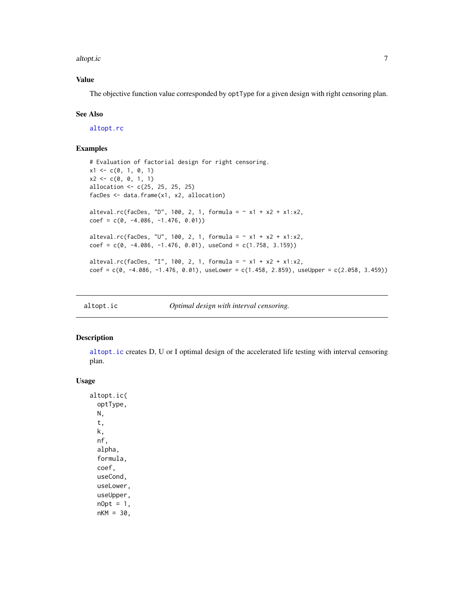<span id="page-6-0"></span>altopt.ic 7

# Value

The objective function value corresponded by optType for a given design with right censoring plan.

#### See Also

[altopt.rc](#page-8-1)

### Examples

```
# Evaluation of factorial design for right censoring.
x1 \leftarrow c(0, 1, 0, 1)x2 \leq -c(0, 0, 1, 1)allocation <- c(25, 25, 25, 25)
facDes <- data.frame(x1, x2, allocation)
alteval.rc(facDes, "D", 100, 2, 1, formula = \sim x1 + x2 + x1 : x2,
coef = c(0, -4.086, -1.476, 0.01))alteval.rc(facDes, "U", 100, 2, 1, formula = \sim x1 + x2 + x1 : x2,
coef = c(0, -4.086, -1.476, 0.01), useCond = c(1.758, 3.159))alteval.rc(facDes, "I", 100, 2, 1, formula = \sim x1 + x2 + x1:x2,
coef = C(0, -4.086, -1.476, 0.01), useLower = c(1.458, 2.859), useUpper = c(2.058, 3.459)
```
<span id="page-6-1"></span>altopt.ic *Optimal design with interval censoring.*

# Description

[altopt.ic](#page-6-1) creates D, U or I optimal design of the accelerated life testing with interval censoring plan.

#### Usage

altopt.ic( optType, N, t, k, nf, alpha, formula, coef, useCond, useLower, useUpper,  $nOpt = 1$ ,  $nKM = 30,$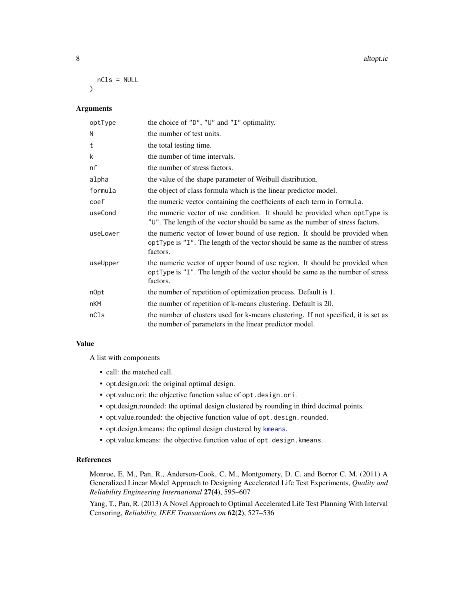#### 8 altopt.ic

nCls = NULL  $\lambda$ 

# Arguments

| optType  | the choice of " $D$ ", " $U$ " and " $I$ " optimality.                                                                                                                     |
|----------|----------------------------------------------------------------------------------------------------------------------------------------------------------------------------|
| N        | the number of test units.                                                                                                                                                  |
| t        | the total testing time.                                                                                                                                                    |
| k        | the number of time intervals.                                                                                                                                              |
| nf       | the number of stress factors.                                                                                                                                              |
| alpha    | the value of the shape parameter of Weibull distribution.                                                                                                                  |
| formula  | the object of class formula which is the linear predictor model.                                                                                                           |
| coef     | the numeric vector containing the coefficients of each term in formula.                                                                                                    |
| useCond  | the numeric vector of use condition. It should be provided when optType is<br>"U". The length of the vector should be same as the number of stress factors.                |
| useLower | the numeric vector of lower bound of use region. It should be provided when<br>optType is "I". The length of the vector should be same as the number of stress<br>factors. |
| useUpper | the numeric vector of upper bound of use region. It should be provided when<br>optType is "I". The length of the vector should be same as the number of stress<br>factors. |
| n0pt     | the number of repetition of optimization process. Default is 1.                                                                                                            |
| nKM      | the number of repetition of k-means clustering. Default is 20.                                                                                                             |
| nCls     | the number of clusters used for k-means clustering. If not specified, it is set as<br>the number of parameters in the linear predictor model.                              |

#### Value

A list with components

- call: the matched call.
- opt.design.ori: the original optimal design.
- opt.value.ori: the objective function value of opt.design.ori.
- opt.design.rounded: the optimal design clustered by rounding in third decimal points.
- opt.value.rounded: the objective function value of opt.design.rounded.
- opt.design.kmeans: the optimal design clustered by [kmeans](#page-0-0).
- opt.value.kmeans: the objective function value of opt.design.kmeans.

#### References

Monroe, E. M., Pan, R., Anderson-Cook, C. M., Montgomery, D. C. and Borror C. M. (2011) A Generalized Linear Model Approach to Designing Accelerated Life Test Experiments, *Quality and Reliability Engineering International* 27(4), 595–607

Yang, T., Pan, R. (2013) A Novel Approach to Optimal Accelerated Life Test Planning With Interval Censoring, *Reliability, IEEE Transactions on* 62(2), 527–536

<span id="page-7-0"></span>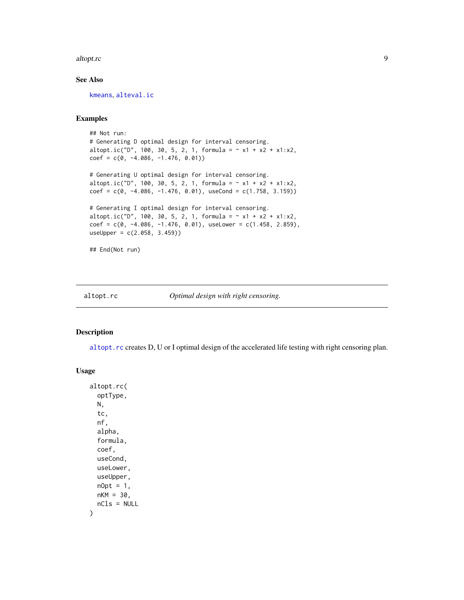#### <span id="page-8-0"></span>altopt.rc 9

# See Also

[kmeans](#page-0-0), [alteval.ic](#page-3-1)

# Examples

```
## Not run:
# Generating D optimal design for interval censoring.
altopt.ic("D", 100, 30, 5, 2, 1, formula = \sim x1 + x2 + x1:x2,
coef = c(0, -4.086, -1.476, 0.01))# Generating U optimal design for interval censoring.
altopt.ic("D", 100, 30, 5, 2, 1, formula = \sim x1 + x2 + x1:x2,
coef = c(0, -4.086, -1.476, 0.01), useCond = c(1.758, 3.159))# Generating I optimal design for interval censoring.
altopt.ic("D", 100, 30, 5, 2, 1, formula = \sim x1 + x2 + x1:x2,
coef = c(0, -4.086, -1.476, 0.01), useLower = c(1.458, 2.859),useUpper = c(2.058, 3.459))
## End(Not run)
```
<span id="page-8-1"></span>altopt.rc *Optimal design with right censoring.*

#### Description

[altopt.rc](#page-8-1) creates D, U or I optimal design of the accelerated life testing with right censoring plan.

## Usage

```
altopt.rc(
  optType,
 N,
  tc,
 nf,
  alpha,
  formula,
 coef,
 useCond,
  useLower,
 useUpper,
 nOpt = 1,
 nKM = 30,nCls = NULL
)
```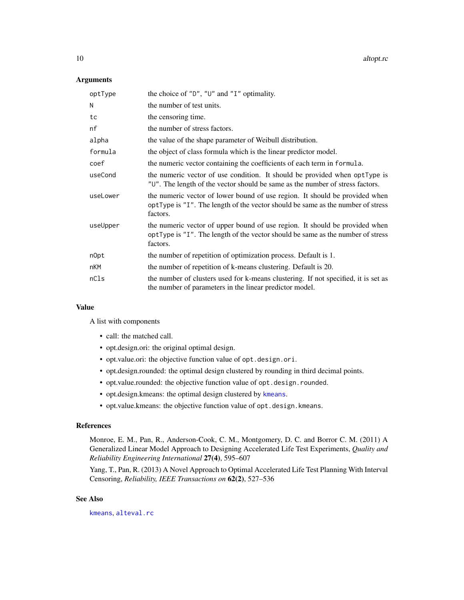<span id="page-9-0"></span>10 altopt.rc

#### **Arguments**

| optType  | the choice of " $D$ ", " $U$ " and " $I$ " optimality.                                                                                                                     |
|----------|----------------------------------------------------------------------------------------------------------------------------------------------------------------------------|
| N        | the number of test units.                                                                                                                                                  |
| tc       | the censoring time.                                                                                                                                                        |
| nf       | the number of stress factors.                                                                                                                                              |
| alpha    | the value of the shape parameter of Weibull distribution.                                                                                                                  |
| formula  | the object of class formula which is the linear predictor model.                                                                                                           |
| coef     | the numeric vector containing the coefficients of each term in formula.                                                                                                    |
| useCond  | the numeric vector of use condition. It should be provided when optType is<br>"U". The length of the vector should be same as the number of stress factors.                |
| useLower | the numeric vector of lower bound of use region. It should be provided when<br>optType is "I". The length of the vector should be same as the number of stress<br>factors. |
| useUpper | the numeric vector of upper bound of use region. It should be provided when<br>optType is "I". The length of the vector should be same as the number of stress<br>factors. |
| n0pt     | the number of repetition of optimization process. Default is 1.                                                                                                            |
| nKM      | the number of repetition of k-means clustering. Default is 20.                                                                                                             |
| nCls     | the number of clusters used for k-means clustering. If not specified, it is set as<br>the number of parameters in the linear predictor model.                              |

#### Value

A list with components

- call: the matched call.
- opt.design.ori: the original optimal design.
- opt.value.ori: the objective function value of opt.design.ori.
- opt.design.rounded: the optimal design clustered by rounding in third decimal points.
- opt.value.rounded: the objective function value of opt.design.rounded.
- opt.design.kmeans: the optimal design clustered by [kmeans](#page-0-0).
- opt.value.kmeans: the objective function value of opt.design.kmeans.

#### References

Monroe, E. M., Pan, R., Anderson-Cook, C. M., Montgomery, D. C. and Borror C. M. (2011) A Generalized Linear Model Approach to Designing Accelerated Life Test Experiments, *Quality and Reliability Engineering International* 27(4), 595–607

Yang, T., Pan, R. (2013) A Novel Approach to Optimal Accelerated Life Test Planning With Interval Censoring, *Reliability, IEEE Transactions on* 62(2), 527–536

# See Also

[kmeans](#page-0-0), [alteval.rc](#page-5-1)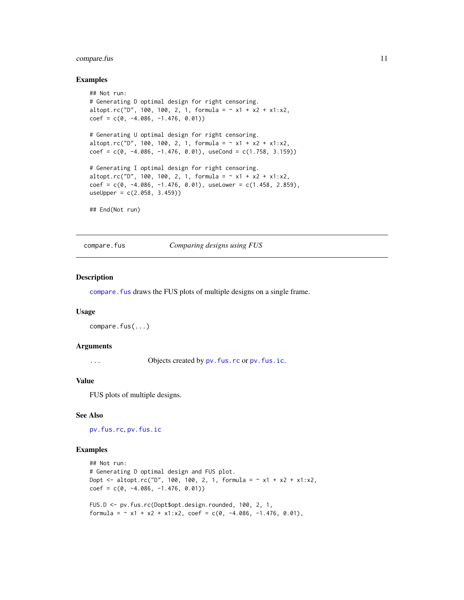# <span id="page-10-0"></span>compare.fus 11

#### Examples

```
## Not run:
# Generating D optimal design for right censoring.
altopt.rc("D", 100, 100, 2, 1, formula = \sim x1 + x2 + x1:x2,
coef = c(0, -4.086, -1.476, 0.01))# Generating U optimal design for right censoring.
altopt.rc("D", 100, 100, 2, 1, formula = \sim x1 + x2 + x1:x2,
coef = c(0, -4.086, -1.476, 0.01), useCond = c(1.758, 3.159)# Generating I optimal design for right censoring.
altopt.rc("D", 100, 100, 2, 1, formula = \sim x1 + x2 + x1:x2,
coef = c(0, -4.086, -1.476, 0.01), useLower = c(1.458, 2.859),useUpper = c(2.058, 3.459)## End(Not run)
```
<span id="page-10-1"></span>compare.fus *Comparing designs using FUS*

#### Description

[compare.fus](#page-10-1) draws the FUS plots of multiple designs on a single frame.

#### Usage

```
compare.fus(...)
```
#### Arguments

... Objects created by pv. fus.rc or pv. fus.ic.

#### Value

FUS plots of multiple designs.

#### See Also

[pv.fus.rc](#page-18-1), [pv.fus.ic](#page-17-1)

```
## Not run:
# Generating D optimal design and FUS plot.
Dopt <- altopt.rc("D", 100, 100, 2, 1, formula = \sim x1 + x2 + x1:x2,
coef = c(0, -4.086, -1.476, 0.01))FUS.D <- pv.fus.rc(Dopt$opt.design.rounded, 100, 2, 1,
formula = \sim x1 + x2 + x1:x2, coef = c(0, -4.086, -1.476, 0.01),
```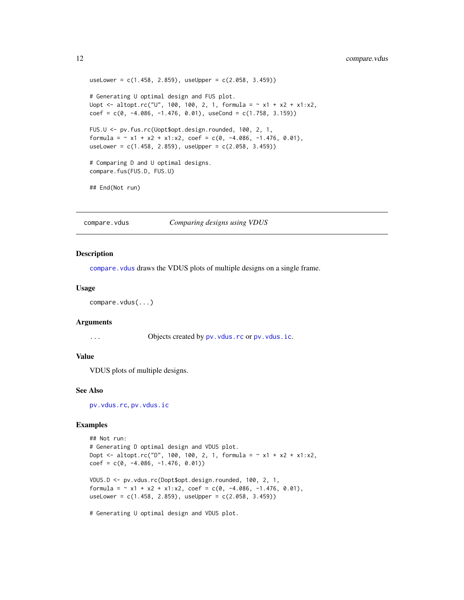```
useLower = c(1.458, 2.859), useUpper = c(2.058, 3.459))
# Generating U optimal design and FUS plot.
Uopt \le altopt.rc("U", 100, 100, 2, 1, formula = \sim x1 + x2 + x1:x2,
coef = c(0, -4.086, -1.476, 0.01), useCond = c(1.758, 3.159))FUS.U <- pv.fus.rc(Uopt$opt.design.rounded, 100, 2, 1,
formula = \sim x1 + x2 + x1:x2, coef = c(0, -4.086, -1.476, 0.01),
useLower = c(1.458, 2.859), useUpper = c(2.058, 3.459)# Comparing D and U optimal designs.
compare.fus(FUS.D, FUS.U)
## End(Not run)
```
<span id="page-11-1"></span>compare.vdus *Comparing designs using VDUS*

#### Description

compare. vdus draws the VDUS plots of multiple designs on a single frame.

#### Usage

```
compare.vdus(...)
```
#### Arguments

... Objects created by pv. vdus.rc or pv. vdus.ic.

# Value

VDUS plots of multiple designs.

#### See Also

[pv.vdus.rc](#page-20-1), [pv.vdus.ic](#page-19-1)

#### Examples

```
## Not run:
# Generating D optimal design and VDUS plot.
Dopt <- altopt.rc("D", 100, 100, 2, 1, formula = \sim x1 + x2 + x1 : x2,
coef = c(0, -4.086, -1.476, 0.01))VDUS.D <- pv.vdus.rc(Dopt$opt.design.rounded, 100, 2, 1,
formula = \sim x1 + x2 + x1:x2, coef = c(0, -4.086, -1.476, 0.01),
useLower = c(1.458, 2.859), useUpper = c(2.058, 3.459))
```
# Generating U optimal design and VDUS plot.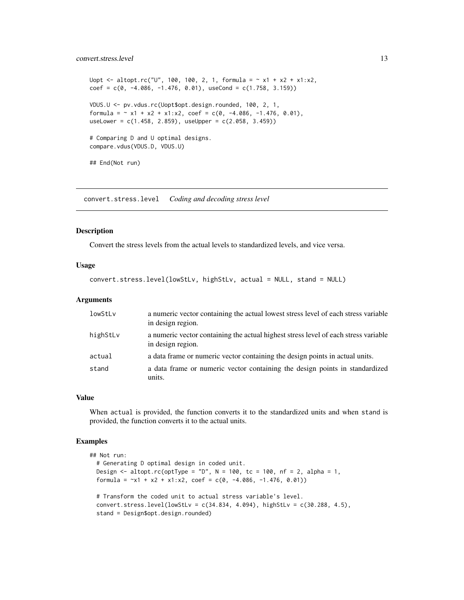### <span id="page-12-0"></span>convert.stress.level 13

```
Uopt \le - altopt.rc("U", 100, 100, 2, 1, formula = \sim x1 + x2 + x1:x2,
coef = c(0, -4.086, -1.476, 0.01), useCond = c(1.758, 3.159))
VDUS.U <- pv.vdus.rc(Uopt$opt.design.rounded, 100, 2, 1,
formula = \sim x1 + x2 + x1:x2, coef = c(0, -4.086, -1.476, 0.01),
useLower = c(1.458, 2.859), useUpper = c(2.058, 3.459))
# Comparing D and U optimal designs.
compare.vdus(VDUS.D, VDUS.U)
## End(Not run)
```
<span id="page-12-1"></span>convert.stress.level *Coding and decoding stress level*

#### Description

Convert the stress levels from the actual levels to standardized levels, and vice versa.

### Usage

```
convert.stress.level(lowStLv, highStLv, actual = NULL, stand = NULL)
```
#### Arguments

| lowStLv  | a numeric vector containing the actual lowest stress level of each stress variable<br>in design region.  |
|----------|----------------------------------------------------------------------------------------------------------|
| highStLv | a numeric vector containing the actual highest stress level of each stress variable<br>in design region. |
| actual   | a data frame or numeric vector containing the design points in actual units.                             |
| stand    | a data frame or numeric vector containing the design points in standardized<br>units.                    |

#### Value

When actual is provided, the function converts it to the standardized units and when stand is provided, the function converts it to the actual units.

```
## Not run:
 # Generating D optimal design in coded unit.
 Design \le altopt.rc(optType = "D", N = 100, tc = 100, nf = 2, alpha = 1,
 formula = -x1 + x2 + x1 : x2, coef = c(0, -4.086, -1.476, 0.01))# Transform the coded unit to actual stress variable's level.
 convert.stress.level(lowStLv = c(34.834, 4.094), highStLv = c(30.288, 4.5),
 stand = Design$opt.design.rounded)
```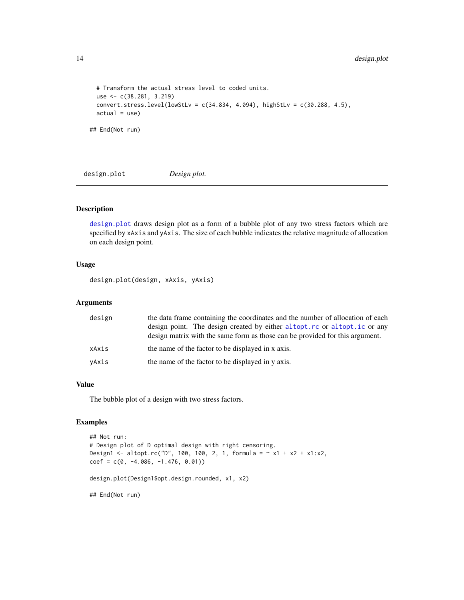```
# Transform the actual stress level to coded units.
 use <- c(38.281, 3.219)
 convert.stress.level(lowStLv = c(34.834, 4.094), highStLv = c(30.288, 4.5),
 actual = use)## End(Not run)
```
<span id="page-13-1"></span>design.plot *Design plot.*

# Description

[design.plot](#page-13-1) draws design plot as a form of a bubble plot of any two stress factors which are specified by xAxis and yAxis. The size of each bubble indicates the relative magnitude of allocation on each design point.

#### Usage

design.plot(design, xAxis, yAxis)

#### Arguments

| design | the data frame containing the coordinates and the number of allocation of each<br>design point. The design created by either altopt. rc or altopt. ic or any<br>design matrix with the same form as those can be provided for this argument. |
|--------|----------------------------------------------------------------------------------------------------------------------------------------------------------------------------------------------------------------------------------------------|
| xAxis  | the name of the factor to be displayed in x axis.                                                                                                                                                                                            |
| yAxis  | the name of the factor to be displayed in y axis.                                                                                                                                                                                            |

# Value

The bubble plot of a design with two stress factors.

```
## Not run:
# Design plot of D optimal design with right censoring.
Design1 <- altopt.rc("D", 100, 100, 2, 1, formula = \sim x1 + x2 + x1 : x2,
coef = c(0, -4.086, -1.476, 0.01))design.plot(Design1$opt.design.rounded, x1, x2)
## End(Not run)
```
<span id="page-13-0"></span>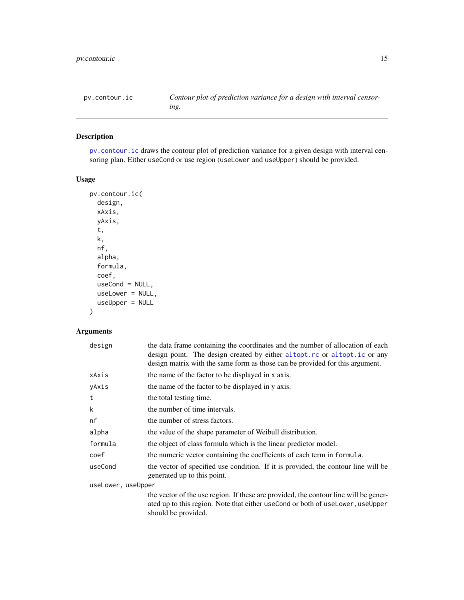<span id="page-14-1"></span><span id="page-14-0"></span>

# Description

[pv.contour.ic](#page-14-1) draws the contour plot of prediction variance for a given design with interval censoring plan. Either useCond or use region (useLower and useUpper) should be provided.

# Usage

```
pv.contour.ic(
  design,
  xAxis,
 yAxis,
  t,
 k,
  nf,
  alpha,
  formula,
  coef,
 useCond = NULL,
 useLower = NULL,
  useUpper = NULL
)
```
# Arguments

| design             | the data frame containing the coordinates and the number of allocation of each<br>design point. The design created by either altopt.rc or altopt.ic or any<br>design matrix with the same form as those can be provided for this argument. |
|--------------------|--------------------------------------------------------------------------------------------------------------------------------------------------------------------------------------------------------------------------------------------|
| xAxis              | the name of the factor to be displayed in x axis.                                                                                                                                                                                          |
| yAxis              | the name of the factor to be displayed in y axis.                                                                                                                                                                                          |
| t                  | the total testing time.                                                                                                                                                                                                                    |
| k                  | the number of time intervals.                                                                                                                                                                                                              |
| nf                 | the number of stress factors.                                                                                                                                                                                                              |
| alpha              | the value of the shape parameter of Weibull distribution.                                                                                                                                                                                  |
| formula            | the object of class formula which is the linear predictor model.                                                                                                                                                                           |
| coef               | the numeric vector containing the coefficients of each term in formula.                                                                                                                                                                    |
| useCond            | the vector of specified use condition. If it is provided, the contour line will be<br>generated up to this point.                                                                                                                          |
| useLower, useUpper |                                                                                                                                                                                                                                            |
|                    | the vector of the use region. If these are provided, the contour line will be gener-<br>ated up to this region. Note that either use Cond or both of use Lower, use Upper<br>should be provided.                                           |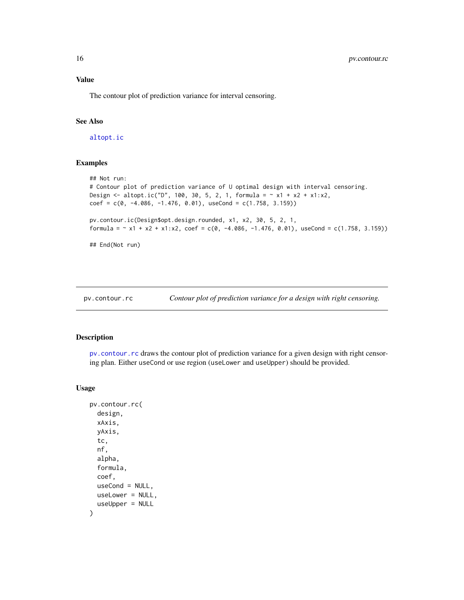#### Value

The contour plot of prediction variance for interval censoring.

#### See Also

[altopt.ic](#page-6-1)

### Examples

```
## Not run:
# Contour plot of prediction variance of U optimal design with interval censoring.
Design <- altopt.ic("D", 100, 30, 5, 2, 1, formula = \sim x1 + x2 + x1 : x2,
coef = c(0, -4.086, -1.476, 0.01), useCond = c(1.758, 3.159))pv.contour.ic(Design$opt.design.rounded, x1, x2, 30, 5, 2, 1,
formula = \sim x1 + x2 + x1:x2, coef = c(0, -4.086, -1.476, 0.01), useCond = c(1.758, 3.159))
```
## End(Not run)

<span id="page-15-1"></span>pv.contour.rc *Contour plot of prediction variance for a design with right censoring.*

# Description

[pv.contour.rc](#page-15-1) draws the contour plot of prediction variance for a given design with right censoring plan. Either useCond or use region (useLower and useUpper) should be provided.

### Usage

```
pv.contour.rc(
  design,
 xAxis,
  yAxis,
  tc,
  nf,
  alpha,
  formula,
  coef,
  useCond = NULL,useLower = NULL,
  useUpper = NULL
)
```
<span id="page-15-0"></span>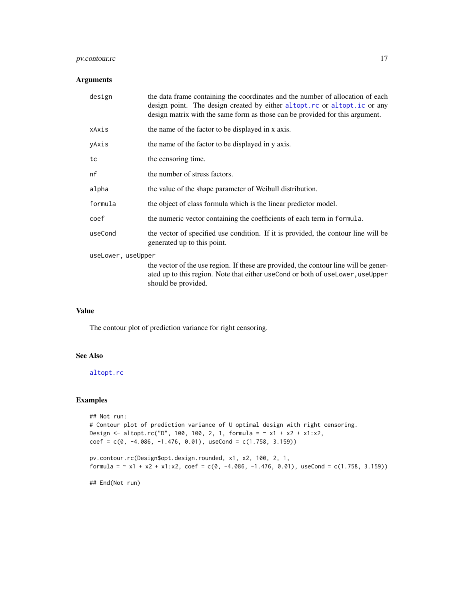# <span id="page-16-0"></span>pv.contour.rc 17

#### Arguments

| design             | the data frame containing the coordinates and the number of allocation of each<br>design point. The design created by either altopt.rc or altopt.ic or any<br>design matrix with the same form as those can be provided for this argument. |
|--------------------|--------------------------------------------------------------------------------------------------------------------------------------------------------------------------------------------------------------------------------------------|
| xAxis              | the name of the factor to be displayed in x axis.                                                                                                                                                                                          |
| yAxis              | the name of the factor to be displayed in y axis.                                                                                                                                                                                          |
| tc                 | the censoring time.                                                                                                                                                                                                                        |
| nf                 | the number of stress factors.                                                                                                                                                                                                              |
| alpha              | the value of the shape parameter of Weibull distribution.                                                                                                                                                                                  |
| formula            | the object of class formula which is the linear predictor model.                                                                                                                                                                           |
| coef               | the numeric vector containing the coefficients of each term in formula.                                                                                                                                                                    |
| useCond            | the vector of specified use condition. If it is provided, the contour line will be<br>generated up to this point.                                                                                                                          |
| useLower, useUpper |                                                                                                                                                                                                                                            |
|                    | the vector of the use region. If these are provided, the contour line will be gener-<br>ated up to this region. Note that either useCond or both of useLower, useUpper<br>should be provided.                                              |

#### Value

The contour plot of prediction variance for right censoring.

# See Also

[altopt.rc](#page-8-1)

#### Examples

```
## Not run:
# Contour plot of prediction variance of U optimal design with right censoring.
Design <- altopt.rc("D", 100, 100, 2, 1, formula = \sim x1 + x2 + x1:x2,
coef = c(0, -4.086, -1.476, 0.01), useCond = c(1.758, 3.159))
```

```
pv.contour.rc(Design$opt.design.rounded, x1, x2, 100, 2, 1,
formula = \sim x1 + x2 + x1:x2, coef = c(0, -4.086, -1.476, 0.01), useCond = c(1.758, 3.159))
```
## End(Not run)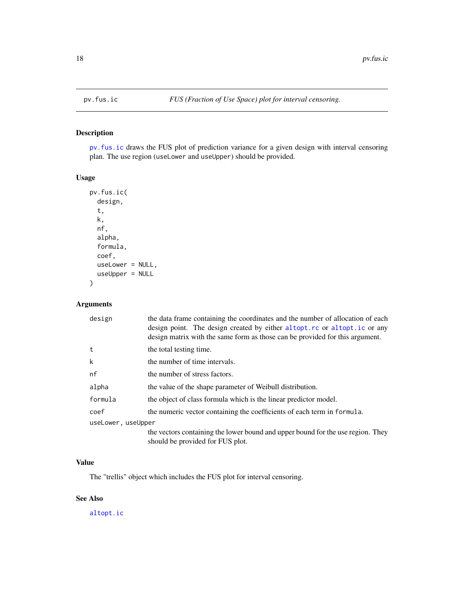# Description

[pv.fus.ic](#page-17-1) draws the FUS plot of prediction variance for a given design with interval censoring plan. The use region (useLower and useUpper) should be provided.

#### Usage

```
pv.fus.ic(
 design,
  t,
 k,
  nf,
  alpha,
  formula,
  coef,
 useLower = NULL,
  useUpper = NULL
)
```
# Arguments

| design             | the data frame containing the coordinates and the number of allocation of each<br>design point. The design created by either altopt.rc or altopt.ic or any<br>design matrix with the same form as those can be provided for this argument. |
|--------------------|--------------------------------------------------------------------------------------------------------------------------------------------------------------------------------------------------------------------------------------------|
| t                  | the total testing time.                                                                                                                                                                                                                    |
| k                  | the number of time intervals.                                                                                                                                                                                                              |
| nf                 | the number of stress factors.                                                                                                                                                                                                              |
| alpha              | the value of the shape parameter of Weibull distribution.                                                                                                                                                                                  |
| formula            | the object of class formula which is the linear predictor model.                                                                                                                                                                           |
| coef               | the numeric vector containing the coefficients of each term in formula.                                                                                                                                                                    |
| useLower, useUpper |                                                                                                                                                                                                                                            |
|                    | the vectors containing the lower bound and upper bound for the use region. They<br>should be provided for FUS plot.                                                                                                                        |

# Value

The "trellis" object which includes the FUS plot for interval censoring.

# See Also

[altopt.ic](#page-6-1)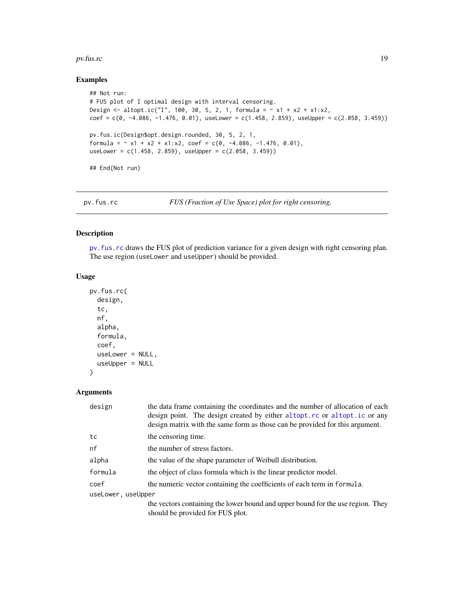#### <span id="page-18-0"></span>pv.fus.rc 19

# Examples

```
## Not run:
# FUS plot of I optimal design with interval censoring.
Design <- altopt.ic("I", 100, 30, 5, 2, 1, formula = \sim x1 + x2 + x1:x2,
coef = c(0, -4.086, -1.476, 0.01), useLower = c(1.458, 2.859), useUpper = c(2.058, 3.459))pv.fus.ic(Design$opt.design.rounded, 30, 5, 2, 1,
formula = \sim x1 + x2 + x1:x2, coef = c(0, -4.086, -1.476, 0.01),
useLower = c(1.458, 2.859), useUpper = c(2.058, 3.459)## End(Not run)
```
<span id="page-18-1"></span>

| pv.fus.rc | FUS (Fraction of Use Space) plot for right censoring. |  |
|-----------|-------------------------------------------------------|--|
|           |                                                       |  |

# Description

[pv.fus.rc](#page-18-1) draws the FUS plot of prediction variance for a given design with right censoring plan. The use region (useLower and useUpper) should be provided.

## Usage

```
pv.fus.rc(
  design,
  tc,
  nf,
  alpha,
  formula,
  coef,
 useLower = NULL,
  useUpper = NULL
```
)

# Arguments

| design             | the data frame containing the coordinates and the number of allocation of each<br>design point. The design created by either altopt.rc or altopt.ic or any<br>design matrix with the same form as those can be provided for this argument. |
|--------------------|--------------------------------------------------------------------------------------------------------------------------------------------------------------------------------------------------------------------------------------------|
| tc                 | the censoring time.                                                                                                                                                                                                                        |
| nf                 | the number of stress factors.                                                                                                                                                                                                              |
| alpha              | the value of the shape parameter of Weibull distribution.                                                                                                                                                                                  |
| formula            | the object of class formula which is the linear predictor model.                                                                                                                                                                           |
| coef               | the numeric vector containing the coefficients of each term in formula.                                                                                                                                                                    |
| useLower, useUpper |                                                                                                                                                                                                                                            |
|                    | the vectors containing the lower bound and upper bound for the use region. They<br>should be provided for FUS plot.                                                                                                                        |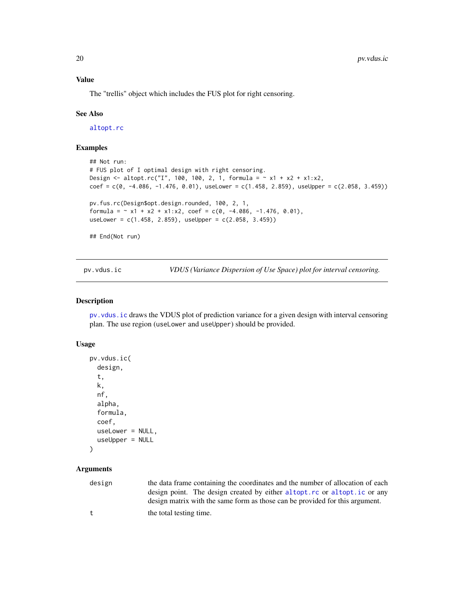# Value

The "trellis" object which includes the FUS plot for right censoring.

#### See Also

[altopt.rc](#page-8-1)

# Examples

```
## Not run:
# FUS plot of I optimal design with right censoring.
Design <- altopt.rc("I", 100, 100, 2, 1, formula = \sim x1 + x2 + x1:x2,
coef = c(0, -4.086, -1.476, 0.01), useLower = c(1.458, 2.859), useUpper = c(2.058, 3.459))pv.fus.rc(Design$opt.design.rounded, 100, 2, 1,
formula = \sim x1 + x2 + x1:x2, coef = c(0, -4.086, -1.476, 0.01),
useLower = c(1.458, 2.859), useUpper = c(2.058, 3.459)## End(Not run)
```
<span id="page-19-1"></span>pv.vdus.ic *VDUS (Variance Dispersion of Use Space) plot for interval censoring.*

#### Description

[pv.vdus.ic](#page-19-1) draws the VDUS plot of prediction variance for a given design with interval censoring plan. The use region (useLower and useUpper) should be provided.

#### Usage

```
pv.vdus.ic(
  design,
  t,
  k,
  nf,
  alpha,
  formula,
  coef,
 useLower = NULL,
  useUpper = NULL
```

```
)
```
# Arguments

| design | the data frame containing the coordinates and the number of allocation of each |
|--------|--------------------------------------------------------------------------------|
|        | design point. The design created by either altopt.rc or altopt.ic or any       |
|        | design matrix with the same form as those can be provided for this argument.   |
| $^+$   | the total testing time.                                                        |

<span id="page-19-0"></span>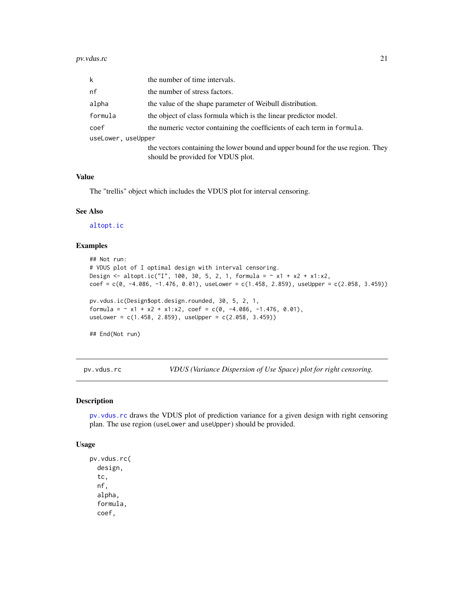<span id="page-20-0"></span>

| k                  | the number of time intervals.                                                                                        |
|--------------------|----------------------------------------------------------------------------------------------------------------------|
| nf                 | the number of stress factors.                                                                                        |
| alpha              | the value of the shape parameter of Weibull distribution.                                                            |
| formula            | the object of class formula which is the linear predictor model.                                                     |
| coef               | the numeric vector containing the coefficients of each term in formula.                                              |
| useLower, useUpper |                                                                                                                      |
|                    | the vectors containing the lower bound and upper bound for the use region. They<br>should be provided for VDUS plot. |

# Value

The "trellis" object which includes the VDUS plot for interval censoring.

# See Also

[altopt.ic](#page-6-1)

# Examples

```
## Not run:
# VDUS plot of I optimal design with interval censoring.
Design <- altopt.ic("I", 100, 30, 5, 2, 1, formula = \sim x1 + x2 + x1 : x2,
coef = C(0, -4.086, -1.476, 0.01), useLower = C(1.458, 2.859), useUpper = C(2.058, 3.459)pv.vdus.ic(Design$opt.design.rounded, 30, 5, 2, 1,
formula = \sim x1 + x2 + x1:x2, coef = c(0, -4.086, -1.476, 0.01),
useLower = c(1.458, 2.859), useUpper = c(2.058, 3.459)## End(Not run)
```
<span id="page-20-1"></span>pv.vdus.rc *VDUS (Variance Dispersion of Use Space) plot for right censoring.*

#### Description

[pv.vdus.rc](#page-20-1) draws the VDUS plot of prediction variance for a given design with right censoring plan. The use region (useLower and useUpper) should be provided.

#### Usage

```
pv.vdus.rc(
  design,
  tc,
  nf,
  alpha,
  formula,
  coef,
```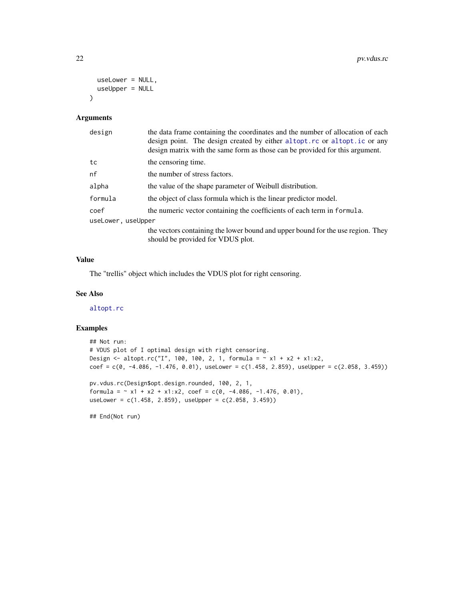```
useLower = NULL,
 useUpper = NULL
\lambda
```
#### Arguments

| design             | the data frame containing the coordinates and the number of allocation of each<br>design point. The design created by either altopt.rc or altopt.ic or any<br>design matrix with the same form as those can be provided for this argument. |
|--------------------|--------------------------------------------------------------------------------------------------------------------------------------------------------------------------------------------------------------------------------------------|
| tc                 | the censoring time.                                                                                                                                                                                                                        |
| nf                 | the number of stress factors.                                                                                                                                                                                                              |
| alpha              | the value of the shape parameter of Weibull distribution.                                                                                                                                                                                  |
| formula            | the object of class formula which is the linear predictor model.                                                                                                                                                                           |
| coef               | the numeric vector containing the coefficients of each term in formula.                                                                                                                                                                    |
| useLower, useUpper |                                                                                                                                                                                                                                            |
|                    | the vectors containing the lower bound and upper bound for the use region. They<br>should be provided for VDUS plot.                                                                                                                       |

#### Value

The "trellis" object which includes the VDUS plot for right censoring.

### See Also

[altopt.rc](#page-8-1)

#### Examples

```
## Not run:
# VDUS plot of I optimal design with right censoring.
Design <- altopt.rc("I", 100, 100, 2, 1, formula = \sim x1 + x2 + x1:x2,
coef = c(0, -4.086, -1.476, 0.01), useLower = c(1.458, 2.859), useUpper = c(2.058, 3.459))
pv.vdus.rc(Design$opt.design.rounded, 100, 2, 1,
formula = \sim x1 + x2 + x1:x2, coef = c(0, -4.086, -1.476, 0.01),
useLower = c(1.458, 2.859), useUpper = c(2.058, 3.459))
```
## End(Not run)